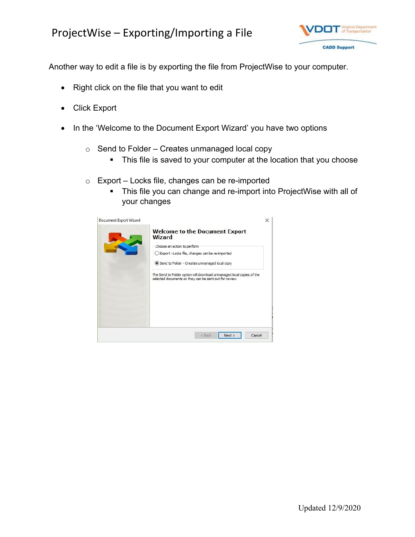

Another way to edit a file is by exporting the file from ProjectWise to your computer.

- Right click on the file that you want to edit
- Click Export
- In the 'Welcome to the Document Export Wizard' you have two options
	- $\circ$  Send to Folder Creates unmanaged local copy
		- This file is saved to your computer at the location that you choose
	- $\circ$  Export Locks file, changes can be re-imported
		- This file you can change and re-import into ProjectWise with all of your changes

| Document Export Wizard | X<br><b>Welcome to the Document Export</b><br><b>Wizard</b><br>Choose an action to perform         |  |  |
|------------------------|----------------------------------------------------------------------------------------------------|--|--|
|                        | ○ Export - Locks file, changes can be re-imported<br>Send to Folder - Creates unmanaged local copy |  |  |
|                        |                                                                                                    |  |  |
|                        | Cancel<br>Next<br><back< td=""></back<>                                                            |  |  |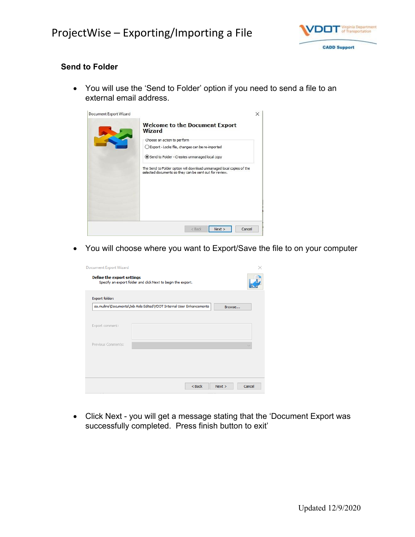

### **Send to Folder**

 You will use the 'Send to Folder' option if you need to send a file to an external email address.

| Document Export Wizard | <b>Welcome to the Document Export</b><br><b>Wizard</b><br>Choose an action to perform<br>○ Export - Locks file, changes can be re-imported<br>Send to Folder - Creates unmanaged local copy<br>The Send to Folder option will download unmanaged local copies of the<br>selected documents so they can be sent out for review. | $\times$ |
|------------------------|--------------------------------------------------------------------------------------------------------------------------------------------------------------------------------------------------------------------------------------------------------------------------------------------------------------------------------|----------|
|                        | Cancel<br><back<br>Next</back<br>                                                                                                                                                                                                                                                                                              |          |

You will choose where you want to Export/Save the file to on your computer

| <b>Document Export Wizard</b>     |                                                                      |                |
|-----------------------------------|----------------------------------------------------------------------|----------------|
| <b>Define the export settings</b> | Specify an export folder and click Next to begin the export.         |                |
| Export folder:                    |                                                                      |                |
|                                   | sa.mullins\Documents\Job Aids Edited\VDOT Internal User Enhancements | Browse         |
| Export comment:                   |                                                                      |                |
| Previous Comments:                |                                                                      |                |
|                                   |                                                                      |                |
|                                   |                                                                      |                |
|                                   | $<$ Back                                                             | Cancel<br>Next |

 Click Next - you will get a message stating that the 'Document Export was successfully completed. Press finish button to exit'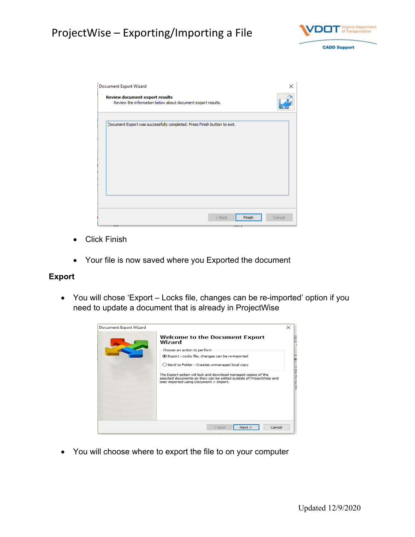

| <b>Document Export Wizard</b><br><b>Review document export results</b><br>Review the information below about document export results. | ×      |
|---------------------------------------------------------------------------------------------------------------------------------------|--------|
| Document Export was successfully completed. Press Finish button to exit.                                                              |        |
| Finish<br>$<$ Back                                                                                                                    | Cancel |

- Click Finish
- Your file is now saved where you Exported the document

#### **Export**

 You will chose 'Export – Locks file, changes can be re-imported' option if you need to update a document that is already in ProjectWise



You will choose where to export the file to on your computer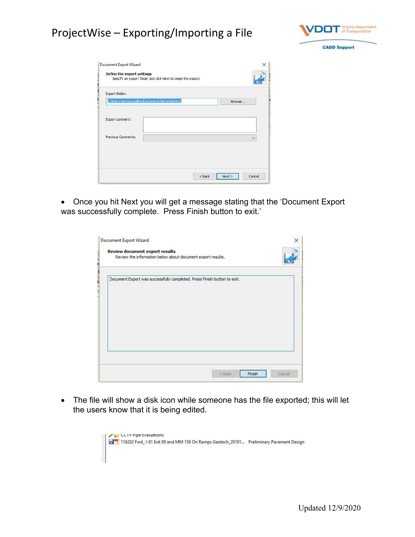

| Export folder:                                  |  |           |
|-------------------------------------------------|--|-----------|
| C: \Users\teresa.mullins\Documents\Advertisment |  | Browse    |
|                                                 |  |           |
| Export comment:                                 |  |           |
| Previous Comments:                              |  | $\ddot{}$ |
|                                                 |  |           |

 Once you hit Next you will get a message stating that the 'Document Export was successfully complete. Press Finish button to exit.'

| Document Export was successfully completed. Press Finish button to exit. |
|--------------------------------------------------------------------------|

 The file will show a disk icon while someone has the file exported; this will let the users know that it is being edited.